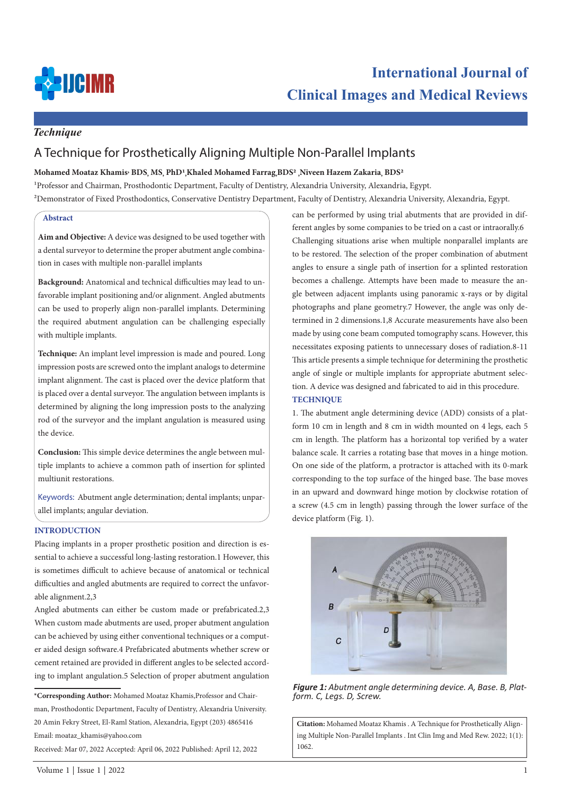

## *Technique*

# A Technique for Prosthetically Aligning Multiple Non-Parallel Implants

## **Mohamed Moataz Khamis, BDS, MS, PhD1,Khaled Mohamed Farrag,BDS2 ,Niveen Hazem Zakaria, BDS2**

1Professor and Chairman, Prosthodontic Department, Faculty of Dentistry, Alexandria University, Alexandria, Egypt.

2Demonstrator of Fixed Prosthodontics, Conservative Dentistry Department, Faculty of Dentistry, Alexandria University, Alexandria, Egypt.

#### **Abstract**

**Aim and Objective:** A device was designed to be used together with a dental surveyor to determine the proper abutment angle combination in cases with multiple non-parallel implants

**Background:** Anatomical and technical difficulties may lead to unfavorable implant positioning and/or alignment. Angled abutments can be used to properly align non-parallel implants. Determining the required abutment angulation can be challenging especially with multiple implants.

**Technique:** An implant level impression is made and poured. Long impression posts are screwed onto the implant analogs to determine implant alignment. The cast is placed over the device platform that is placed over a dental surveyor. The angulation between implants is determined by aligning the long impression posts to the analyzing rod of the surveyor and the implant angulation is measured using the device.

**Conclusion:** This simple device determines the angle between multiple implants to achieve a common path of insertion for splinted multiunit restorations.

Keywords: Abutment angle determination; dental implants; unparallel implants; angular deviation.

#### **INTRODUCTION**

Placing implants in a proper prosthetic position and direction is essential to achieve a successful long-lasting restoration.1 However, this is sometimes difficult to achieve because of anatomical or technical difficulties and angled abutments are required to correct the unfavorable alignment.2,3

Angled abutments can either be custom made or prefabricated.2,3 When custom made abutments are used, proper abutment angulation can be achieved by using either conventional techniques or a computer aided design software.4 Prefabricated abutments whether screw or cement retained are provided in different angles to be selected according to implant angulation.5 Selection of proper abutment angulation

Received: Mar 07, 2022 Accepted: April 06, 2022 Published: April 12, 2022

can be performed by using trial abutments that are provided in different angles by some companies to be tried on a cast or intraorally.6 Challenging situations arise when multiple nonparallel implants are to be restored. The selection of the proper combination of abutment angles to ensure a single path of insertion for a splinted restoration becomes a challenge. Attempts have been made to measure the angle between adjacent implants using panoramic x-rays or by digital photographs and plane geometry.7 However, the angle was only determined in 2 dimensions.1,8 Accurate measurements have also been made by using cone beam computed tomography scans. However, this necessitates exposing patients to unnecessary doses of radiation.8-11 This article presents a simple technique for determining the prosthetic angle of single or multiple implants for appropriate abutment selection. A device was designed and fabricated to aid in this procedure. **TECHNIQUE**

1. The abutment angle determining device (ADD) consists of a platform 10 cm in length and 8 cm in width mounted on 4 legs, each 5 cm in length. The platform has a horizontal top verified by a water balance scale. It carries a rotating base that moves in a hinge motion. On one side of the platform, a protractor is attached with its 0-mark corresponding to the top surface of the hinged base. The base moves in an upward and downward hinge motion by clockwise rotation of a screw (4.5 cm in length) passing through the lower surface of the device platform (Fig. 1).



*Figure 1: Abutment angle determining device. A, Base. B, Plat- form. C, Legs. D, Screw.* 

**Citation:** Mohamed Moataz Khamis . A Technique for Prosthetically Aligning Multiple Non-Parallel Implants . Int Clin Img and Med Rew. 2022; 1(1): 1062.

**<sup>\*</sup>Corresponding Author:** Mohamed Moataz Khamis,Professor and Chairman, Prosthodontic Department, Faculty of Dentistry, Alexandria University. 20 Amin Fekry Street, El-Raml Station, Alexandria, Egypt (203) 4865416 Email: moataz\_khamis@yahoo.com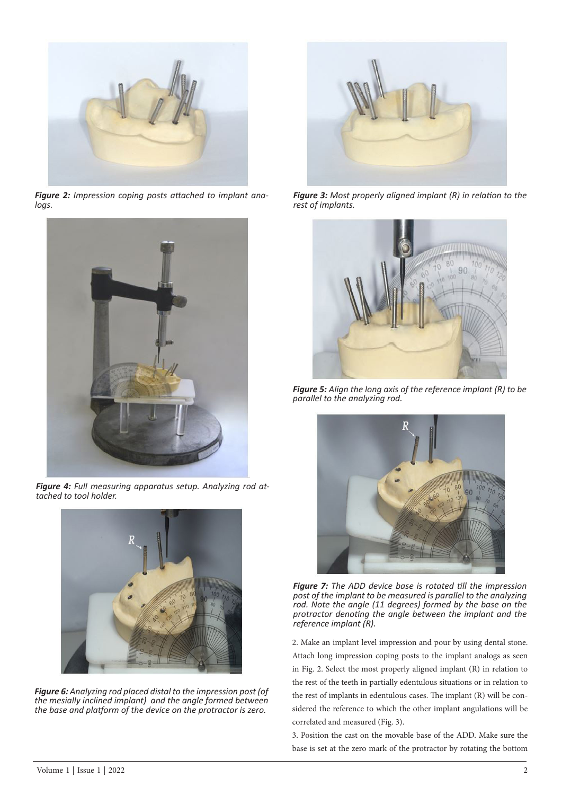

*Figure 2: Impression coping posts attached to implant analogs.*



*Figure 4: Full measuring apparatus setup. Analyzing rod attached to tool holder.*



*Figure 6: Analyzing rod placed distal to the impression post (of the mesially inclined implant) and the angle formed between the base and platform of the device on the protractor is zero.*



*Figure 3: Most properly aligned implant (R) in relation to the rest of implants.* 



*Figure 5: Align the long axis of the reference implant (R) to be parallel to the analyzing rod.*



*Figure 7: The ADD device base is rotated till the impression post of the implant to be measured is parallel to the analyzing rod. Note the angle (11 degrees) formed by the base on the protractor denoting the angle between the implant and the reference implant (R).*

2. Make an implant level impression and pour by using dental stone. Attach long impression coping posts to the implant analogs as seen in Fig. 2. Select the most properly aligned implant (R) in relation to the rest of the teeth in partially edentulous situations or in relation to the rest of implants in edentulous cases. The implant (R) will be considered the reference to which the other implant angulations will be correlated and measured (Fig. 3).

3. Position the cast on the movable base of the ADD. Make sure the base is set at the zero mark of the protractor by rotating the bottom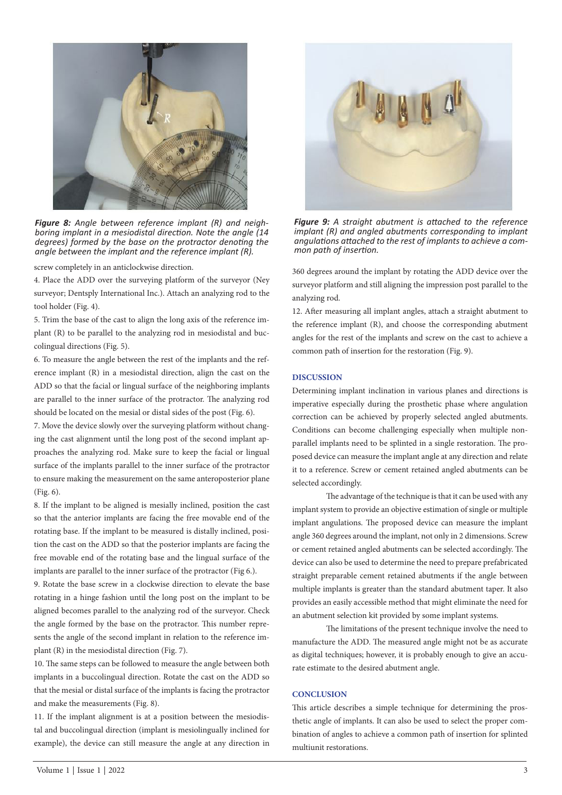

*Figure 8: Angle between reference implant (R) and neighboring implant in a mesiodistal direction. Note the angle (14 degrees) formed by the base on the protractor denoting the angle between the implant and the reference implant (R).*

screw completely in an anticlockwise direction.

4. Place the ADD over the surveying platform of the surveyor (Ney surveyor; Dentsply International Inc.). Attach an analyzing rod to the tool holder (Fig. 4).

5. Trim the base of the cast to align the long axis of the reference implant (R) to be parallel to the analyzing rod in mesiodistal and buccolingual directions (Fig. 5).

6. To measure the angle between the rest of the implants and the reference implant (R) in a mesiodistal direction, align the cast on the ADD so that the facial or lingual surface of the neighboring implants are parallel to the inner surface of the protractor. The analyzing rod should be located on the mesial or distal sides of the post (Fig. 6).

7. Move the device slowly over the surveying platform without changing the cast alignment until the long post of the second implant approaches the analyzing rod. Make sure to keep the facial or lingual surface of the implants parallel to the inner surface of the protractor to ensure making the measurement on the same anteroposterior plane (Fig. 6).

8. If the implant to be aligned is mesially inclined, position the cast so that the anterior implants are facing the free movable end of the rotating base. If the implant to be measured is distally inclined, position the cast on the ADD so that the posterior implants are facing the free movable end of the rotating base and the lingual surface of the implants are parallel to the inner surface of the protractor (Fig 6.).

9. Rotate the base screw in a clockwise direction to elevate the base rotating in a hinge fashion until the long post on the implant to be aligned becomes parallel to the analyzing rod of the surveyor. Check the angle formed by the base on the protractor. This number represents the angle of the second implant in relation to the reference implant (R) in the mesiodistal direction (Fig. 7).

10. The same steps can be followed to measure the angle between both implants in a buccolingual direction. Rotate the cast on the ADD so that the mesial or distal surface of the implants is facing the protractor and make the measurements (Fig. 8).

11. If the implant alignment is at a position between the mesiodistal and buccolingual direction (implant is mesiolingually inclined for example), the device can still measure the angle at any direction in



*Figure 9: A straight abutment is attached to the reference implant (R) and angled abutments corresponding to implant angulations attached to the rest of implants to achieve a common path of insertion.*

360 degrees around the implant by rotating the ADD device over the surveyor platform and still aligning the impression post parallel to the analyzing rod.

12. After measuring all implant angles, attach a straight abutment to the reference implant (R), and choose the corresponding abutment angles for the rest of the implants and screw on the cast to achieve a common path of insertion for the restoration (Fig. 9).

#### **DISCUSSION**

Determining implant inclination in various planes and directions is imperative especially during the prosthetic phase where angulation correction can be achieved by properly selected angled abutments. Conditions can become challenging especially when multiple nonparallel implants need to be splinted in a single restoration. The proposed device can measure the implant angle at any direction and relate it to a reference. Screw or cement retained angled abutments can be selected accordingly.

The advantage of the technique is that it can be used with any implant system to provide an objective estimation of single or multiple implant angulations. The proposed device can measure the implant angle 360 degrees around the implant, not only in 2 dimensions. Screw or cement retained angled abutments can be selected accordingly. The device can also be used to determine the need to prepare prefabricated straight preparable cement retained abutments if the angle between multiple implants is greater than the standard abutment taper. It also provides an easily accessible method that might eliminate the need for an abutment selection kit provided by some implant systems.

The limitations of the present technique involve the need to manufacture the ADD. The measured angle might not be as accurate as digital techniques; however, it is probably enough to give an accurate estimate to the desired abutment angle.

#### **CONCLUSION**

This article describes a simple technique for determining the prosthetic angle of implants. It can also be used to select the proper combination of angles to achieve a common path of insertion for splinted multiunit restorations.